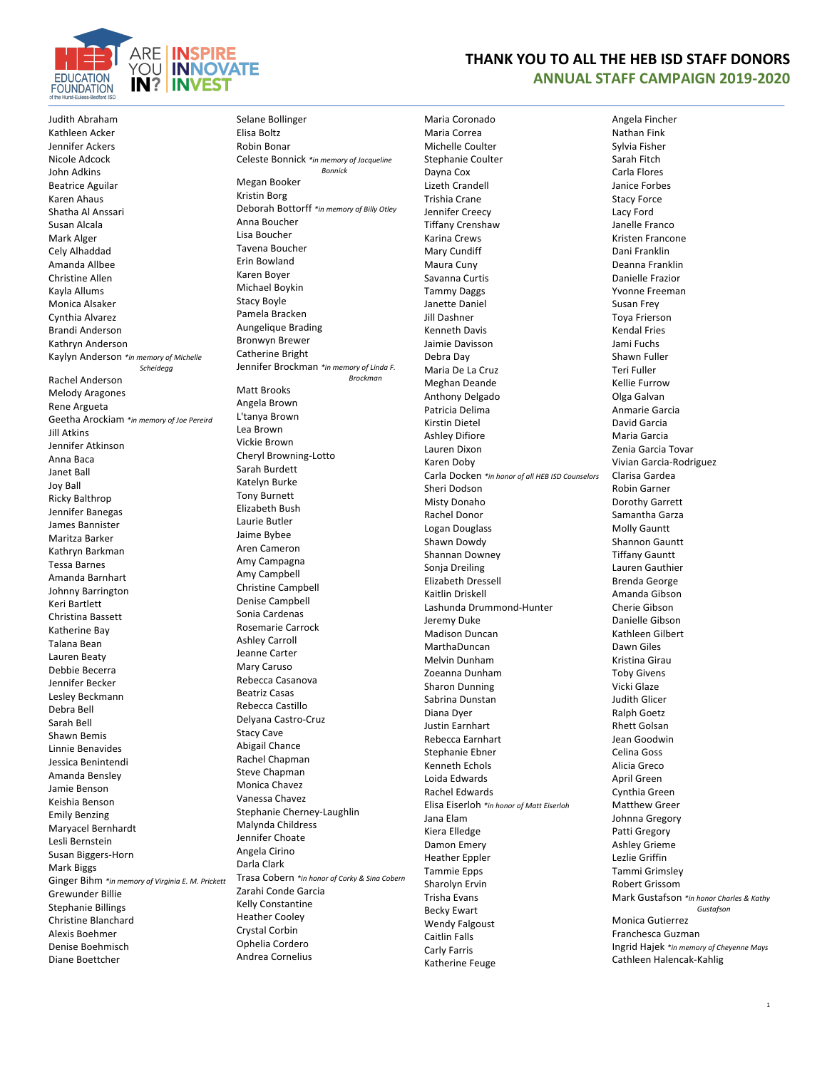

**THANK YOU TO ALL THE HEB ISD STAFF DONORS ANNUAL STAFF CAMPAIGN 2019-2020**

Judith Abraham Kathleen Acker Jennifer Ackers Nicole Adcock John Adkins Beatrice Aguilar Karen Ahaus Shatha Al Anssari Susan Alcala Mark Alger Cely Alhaddad Amanda Allbee Christine Allen Kayla Allums Monica Alsaker Cynthia Alvarez Brandi Anderson Kathryn Anderson Kaylyn Anderson *\*in memory of Michelle Scheidegg* Rachel Anderson Melody Aragones Rene Argueta Geetha Arockiam *\*in memory of Joe Pereird* Jill Atkins Jennifer Atkinson Anna Baca Janet Ball Joy Ball Ricky Balthrop Jennifer Banegas James Bannister Maritza Barker Kathryn Barkman Tessa Barnes Amanda Barnhart Johnny Barrington Keri Bartlett Christina Bassett Katherine Bay Talana Bean Lauren Beaty Debbie Becerra Jennifer Becker Lesley Beckmann Debra Bell Sarah Bell Shawn Bemis Linnie Benavides Jessica Benintendi Amanda Bensley Jamie Benson Keishia Benson Emily Benzing Maryacel Bernhardt Lesli Bernstein Susan Biggers-Horn Mark Biggs Ginger Bihm *\*in memory of Virginia E. M. Prickett* Grewunder Billie Stephanie Billings Christine Blanchard Alexis Boehmer Denise Boehmisch Diane Boettcher

Selane Bollinger Elisa Boltz Robin Bonar Celeste Bonnick *\*in memory of Jacqueline Bonnick* Megan Booker Kristin Borg Deborah Bottorff *\*in memory of Billy Otley* Anna Boucher Lisa Boucher Tavena Boucher Erin Bowland Karen Boyer Michael Boykin Stacy Boyle Pamela Bracken Aungelique Brading Bronwyn Brewer Catherine Bright Jennifer Brockman *\*in memory of Linda F. Brockman* Matt Brooks Angela Brown L'tanya Brown Lea Brown Vickie Brown Cheryl Browning-Lotto Sarah Burdett Katelyn Burke Tony Burnett Elizabeth Bush Laurie Butler Jaime Bybee Aren Cameron Amy Campagna Amy Campbell Christine Campbell Denise Campbell Sonia Cardenas Rosemarie Carrock Ashley Carroll Jeanne Carter Mary Caruso Rebecca Casanova Beatriz Casas Rebecca Castillo Delyana Castro-Cruz Stacy Cave Abigail Chance Rachel Chapman Steve Chapman Monica Chavez Vanessa Chavez Stephanie Cherney-Laughlin Malynda Childress Jennifer Choate Angela Cirino Darla Clark Trasa Cobern *\*in honor of Corky & Sina Cobern* Zarahi Conde Garcia Kelly Constantine Heather Cooley Crystal Corbin Ophelia Cordero Andrea Cornelius

Maria Coronado Maria Correa Michelle Coulter Stephanie Coulter Dayna Cox Lizeth Crandell Trishia Crane Jennifer Creecy Tiffany Crenshaw Karina Crews Mary Cundiff Maura Cuny Savanna Curtis Tammy Daggs Janette Daniel Jill Dashner Kenneth Davis Jaimie Davisson Debra Day Maria De La Cruz Meghan Deande Anthony Delgado Patricia Delima Kirstin Dietel Ashley Difiore Lauren Dixon Karen Doby Carla Docken *\*in honor of all HEB ISD Counselors* Sheri Dodson Misty Donaho Rachel Donor Logan Douglass Shawn Dowdy Shannan Downey Sonja Dreiling Elizabeth Dressell Kaitlin Driskell Lashunda Drummond-Hunter Jeremy Duke Madison Duncan MarthaDuncan Melvin Dunham Zoeanna Dunham Sharon Dunning Sabrina Dunstan Diana Dyer Justin Earnhart Rebecca Earnhart Stephanie Ebner Kenneth Echols Loida Edwards Rachel Edwards Elisa Eiserloh *\*in honor of Matt Eiserloh* Jana Elam Kiera Elledge Damon Emery Heather Eppler Tammie Epps Sharolyn Ervin Trisha Evans Becky Ewart Wendy Falgoust Caitlin Falls Carly Farris Katherine Feuge

## Angela Fincher Nathan Fink Sylvia Fisher Sarah Fitch Carla Flores Janice Forbes Stacy Force Lacy Ford Janelle Franco Kristen Francone Dani Franklin Deanna Franklin Danielle Frazior Yvonne Freeman Susan Frey Toya Frierson Kendal Fries Jami Fuchs Shawn Fuller Teri Fuller Kellie Furrow Olga Galvan Anmarie Garcia David Garcia Maria Garcia Zenia Garcia Tovar Vivian Garcia-Rodriguez Clarisa Gardea Robin Garner Dorothy Garrett Samantha Garza Molly Gauntt Shannon Gauntt Tiffany Gauntt Lauren Gauthier Brenda George Amanda Gibson Cherie Gibson Danielle Gibson Kathleen Gilbert Dawn Giles Kristina Girau Toby Givens Vicki Glaze Judith Glicer Ralph Goetz Rhett Golsan Jean Goodwin Celina Goss Alicia Greco April Green Cynthia Green Matthew Greer Johnna Gregory Patti Gregory Ashley Grieme Lezlie Griffin Tammi Grimsley Robert Grissom Mark Gustafson *\*in honor Charles & Kathy Gustafson* Monica Gutierrez Franchesca Guzman

Ingrid Hajek *\*in memory of Cheyenne Mays* Cathleen Halencak-Kahlig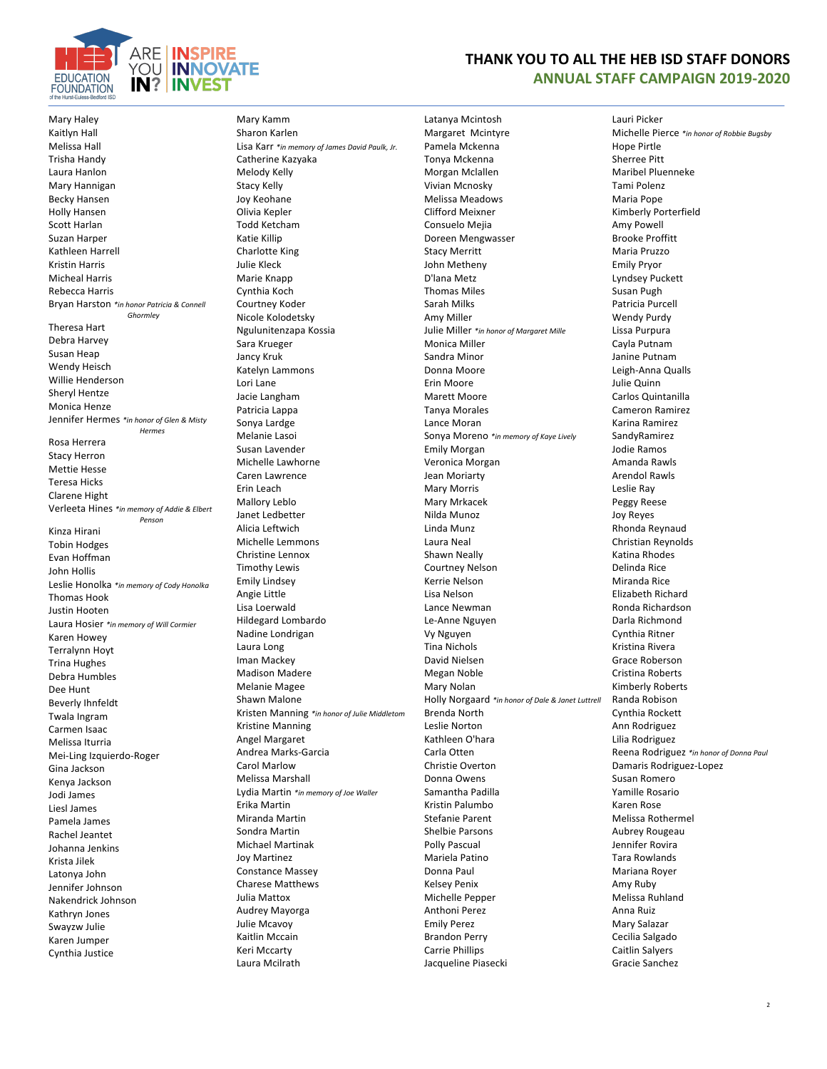

## **THANK YOU TO ALL THE HEB ISD STAFF DONORS ANNUAL STAFF CAMPAIGN 2019-2020**

Mary Haley Kaitlyn Hall Melissa Hall Trisha Handy Laura Hanlon Mary Hannigan Becky Hansen Holly Hansen Scott Harlan Suzan Harper Kathleen Harrell Kristin Harris Micheal Harris Rebecca Harris Bryan Harston *\*in honor Patricia & Connell Ghormley* Theresa Hart Debra Harvey Susan Heap Wendy Heisch Willie Henderson Sheryl Hentze Monica Henze Jennifer Hermes *\*in honor of Glen & Misty Hermes* Rosa Herrera Stacy Herron Mettie Hesse Teresa Hicks Clarene Hight Verleeta Hines *\*in memory of Addie & Elbert Penson* Kinza Hirani Tobin Hodges Evan Hoffman John Hollis Leslie Honolka *\*in memory of Cody Honolka* Thomas Hook Justin Hooten Laura Hosier *\*in memory of Will Cormier* Karen Howey Terralynn Hoyt Trina Hughes Debra Humbles Dee Hunt Beverly Ihnfeldt Twala Ingram Carmen Isaac Melissa Iturria Mei-Ling Izquierdo-Roger Gina Jackson Kenya Jackson Jodi James Liesl James Pamela James Rachel Jeantet Johanna Jenkins Krista Jilek Latonya John Jennifer Johnson Nakendrick Johnson Kathryn Jones Swayzw Julie Karen Jumper Cynthia Justice

Mary Kamm Sharon Karlen Lisa Karr *\*in memory of James David Paulk, Jr.* Catherine Kazyaka Melody Kelly Stacy Kelly Joy Keohane Olivia Kepler Todd Ketcham Katie Killip Charlotte King Julie Kleck Marie Knapp Cynthia Koch Courtney Koder Nicole Kolodetsky Ngulunitenzapa Kossia Sara Krueger Jancy Kruk Katelyn Lammons Lori Lane Jacie Langham Patricia Lappa Sonya Lardge Melanie Lasoi Susan Lavender Michelle Lawhorne Caren Lawrence Erin Leach Mallory Leblo Janet Ledbetter Alicia Leftwich Michelle Lemmons Christine Lennox Timothy Lewis Emily Lindsey Angie Little Lisa Loerwald Hildegard Lombardo Nadine Londrigan Laura Long Iman Mackey Madison Madere Melanie Magee Shawn Malone Kristen Manning *\*in honor of Julie Middletom* Kristine Manning Angel Margaret Andrea Marks-Garcia Carol Marlow Melissa Marshall Lydia Martin *\*in memory of Joe Waller* Erika Martin Miranda Martin Sondra Martin Michael Martinak Joy Martinez Constance Massey Charese Matthews Julia Mattox Audrey Mayorga Julie Mcavoy Kaitlin Mccain Keri Mccarty Laura Mcilrath

Latanya Mcintosh Margaret Mcintyre Pamela Mckenna Tonya Mckenna Morgan Mclallen Vivian Mcnosky Melissa Meadows Clifford Meixner Consuelo Mejia Doreen Mengwasser Stacy Merritt John Metheny D'lana Metz Thomas Miles Sarah Milks Amy Miller Julie Miller *\*in honor of Margaret Mille* Monica Miller Sandra Minor Donna Moore Erin Moore Marett Moore Tanya Morales Lance Moran Sonya Moreno *\*in memory of Kaye Lively* Emily Morgan Veronica Morgan Jean Moriarty Mary Morris Mary Mrkacek Nilda Munoz Linda Munz Laura Neal Shawn Neally Courtney Nelson Kerrie Nelson Lisa Nelson Lance Newman Le-Anne Nguyen Vy Nguyen Tina Nichols David Nielsen Megan Noble Mary Nolan Holly Norgaard *\*in honor of Dale & Janet Luttrell* Brenda North Leslie Norton Kathleen O'hara Carla Otten Christie Overton Donna Owens Samantha Padilla Kristin Palumbo Stefanie Parent Shelbie Parsons Polly Pascual Mariela Patino Donna Paul Kelsey Penix Michelle Pepper Anthoni Perez Emily Perez Brandon Perry Carrie Phillips Jacqueline Piasecki

Lauri Picker Michelle Pierce *\*in honor of Robbie Bugsby* Hope Pirtle Sherree Pitt Maribel Pluenneke Tami Polenz Maria Pope Kimberly Porterfield Amy Powell Brooke Proffitt Maria Pruzzo Emily Pryor Lyndsey Puckett Susan Pugh Patricia Purcell Wendy Purdy Lissa Purpura Cayla Putnam Janine Putnam Leigh-Anna Qualls Julie Quinn Carlos Quintanilla Cameron Ramirez Karina Ramirez SandyRamirez Jodie Ramos Amanda Rawls Arendol Rawls Leslie Ray Peggy Reese Joy Reyes Rhonda Reynaud Christian Reynolds Katina Rhodes Delinda Rice Miranda Rice Elizabeth Richard Ronda Richardson Darla Richmond Cynthia Ritner Kristina Rivera Grace Roberson Cristina Roberts Kimberly Roberts Randa Robison Cynthia Rockett Ann Rodriguez Lilia Rodriguez Reena Rodriguez *\*in honor of Donna Paul* Damaris Rodriguez-Lopez Susan Romero Yamille Rosario Karen Rose Melissa Rothermel Aubrey Rougeau Jennifer Rovira Tara Rowlands Mariana Royer Amy Ruby Melissa Ruhland Anna Ruiz Mary Salazar Cecilia Salgado Caitlin Salyers Gracie Sanchez